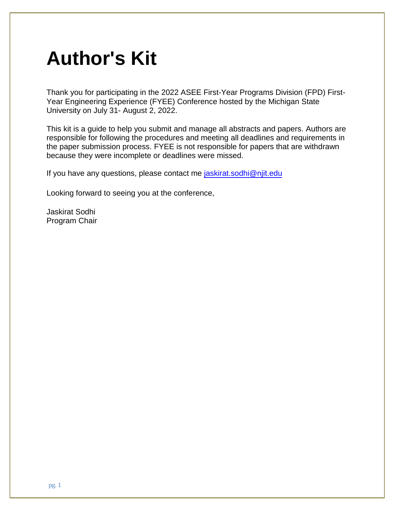## **Author's Kit**

Thank you for participating in the 2022 ASEE First-Year Programs Division (FPD) First-Year Engineering Experience (FYEE) Conference hosted by the Michigan State University on July 31- August 2, 2022.

This kit is a guide to help you submit and manage all abstracts and papers. Authors are responsible for following the procedures and meeting all deadlines and requirements in the paper submission process. FYEE is not responsible for papers that are withdrawn because they were incomplete or deadlines were missed.

If you have any questions, please contact me [jaskirat.sodhi@](mailto:jaskirat.sodhi@edu)njit.edu

Looking forward to seeing you at the conference,

Jaskirat Sodhi Program Chair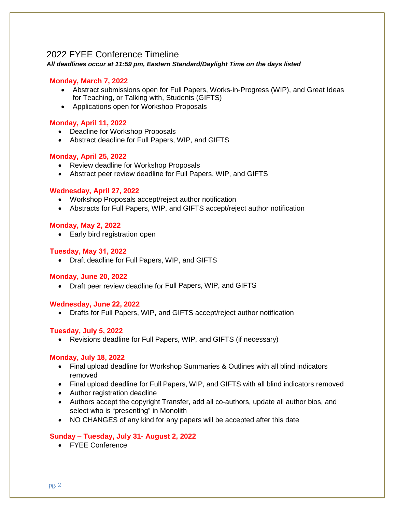## 2022 FYEE Conference Timeline

*All deadlines occur at 11:59 pm, Eastern Standard/Daylight Time on the days listed*

#### **Monday, March 7, 2022**

- Abstract submissions open for Full Papers, Works-in-Progress (WIP), and Great Ideas for Teaching, or Talking with, Students (GIFTS)
- Applications open for Workshop Proposals

#### **Monday, April 11, 2022**

- Deadline for Workshop Proposals
- Abstract deadline for Full Papers, WIP, and GIFTS

#### **Monday, April 25, 2022**

- Review deadline for Workshop Proposals
- Abstract peer review deadline for Full Papers, WIP, and GIFTS

#### **Wednesday, April 27, 2022**

- Workshop Proposals accept/reject author notification
- Abstracts for Full Papers, WIP, and GIFTS accept/reject author notification

#### **Monday, May 2, 2022**

• Early bird registration open

#### **Tuesday, May 31, 2022**

• Draft deadline for Full Papers, WIP, and GIFTS

#### **Monday, June 20, 2022**

• Draft peer review deadline for Full Papers, WIP, and GIFTS

#### **Wednesday, June 22, 2022**

• Drafts for Full Papers, WIP, and GIFTS accept/reject author notification

#### **Tuesday, July 5, 2022**

• Revisions deadline for Full Papers, WIP, and GIFTS (if necessary)

#### **Monday, July 18, 2022**

- Final upload deadline for Workshop Summaries & Outlines with all blind indicators removed
- Final upload deadline for Full Papers, WIP, and GIFTS with all blind indicators removed
- Author registration deadline
- Authors accept the copyright Transfer, add all co-authors, update all author bios, and select who is "presenting" in Monolith
- NO CHANGES of any kind for any papers will be accepted after this date

#### **Sunday – Tuesday, July 31- August 2, 2022**

• FYEE Conference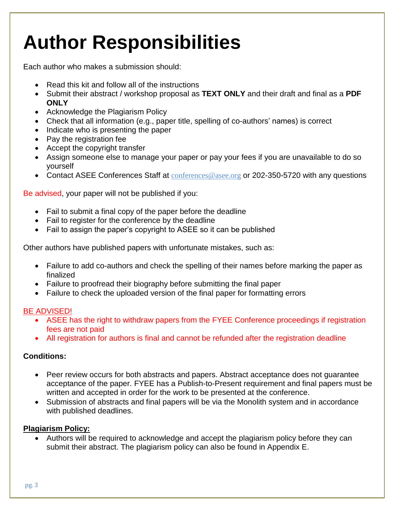# **Author Responsibilities**

Each author who makes a submission should:

- Read this kit and follow all of the instructions
- Submit their abstract / workshop proposal as **TEXT ONLY** and their draft and final as a **PDF ONLY**
- Acknowledge the Plagiarism Policy
- Check that all information (e.g., paper title, spelling of co-authors' names) is correct
- Indicate who is presenting the paper
- Pay the registration fee
- Accept the copyright transfer
- Assign someone else to manage your paper or pay your fees if you are unavailable to do so yourself
- Contact ASEE Conferences Staff at [conferences@asee.org](mailto:conferences@asee.org) or 202-350-5720 with any questions

Be advised, your paper will not be published if you:

- Fail to submit a final copy of the paper before the deadline
- Fail to register for the conference by the deadline
- Fail to assign the paper's copyright to ASEE so it can be published

Other authors have published papers with unfortunate mistakes, such as:

- Failure to add co-authors and check the spelling of their names before marking the paper as finalized
- Failure to proofread their biography before submitting the final paper
- Failure to check the uploaded version of the final paper for formatting errors

#### BE ADVISED!

- ASEE has the right to withdraw papers from the FYEE Conference proceedings if registration fees are not paid
- All registration for authors is final and cannot be refunded after the registration deadline

#### **Conditions:**

- Peer review occurs for both abstracts and papers. Abstract acceptance does not guarantee acceptance of the paper. FYEE has a Publish-to-Present requirement and final papers must be written and accepted in order for the work to be presented at the conference.
- Submission of abstracts and final papers will be via the Monolith system and in accordance with published deadlines.

#### **Plagiarism Policy:**

• Authors will be required to acknowledge and accept the plagiarism policy before they can submit their abstract. The plagiarism policy can also be found in Appendix E.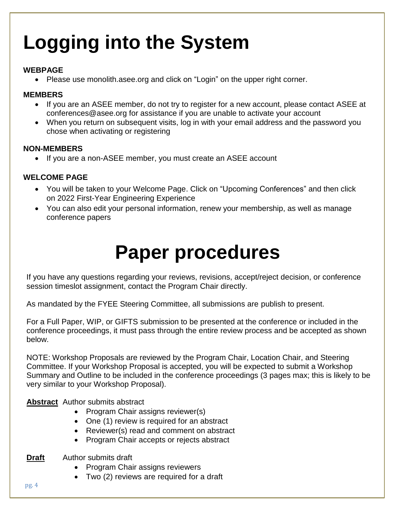# **Logging into the System**

#### **WEBPAGE**

• Please use monolith.asee.org and click on "Login" on the upper right corner.

#### **MEMBERS**

- If you are an ASEE member, do not try to register for a new account, please contact ASEE at conferences@asee.org for assistance if you are unable to activate your account
- When you return on subsequent visits, log in with your email address and the password you chose when activating or registering

#### **NON-MEMBERS**

• If you are a non-ASEE member, you must create an ASEE account

#### **WELCOME PAGE**

- You will be taken to your Welcome Page. Click on "Upcoming Conferences" and then click on 2022 First-Year Engineering Experience
- You can also edit your personal information, renew your membership, as well as manage conference papers

## **Paper procedures**

If you have any questions regarding your reviews, revisions, accept/reject decision, or conference session timeslot assignment, contact the Program Chair directly.

As mandated by the FYEE Steering Committee, all submissions are publish to present.

For a Full Paper, WIP, or GIFTS submission to be presented at the conference or included in the conference proceedings, it must pass through the entire review process and be accepted as shown below.

NOTE: Workshop Proposals are reviewed by the Program Chair, Location Chair, and Steering Committee. If your Workshop Proposal is accepted, you will be expected to submit a Workshop Summary and Outline to be included in the conference proceedings (3 pages max; this is likely to be very similar to your Workshop Proposal).

**Abstract** Author submits abstract

- Program Chair assigns reviewer(s)
- One (1) review is required for an abstract
- Reviewer(s) read and comment on abstract
- Program Chair accepts or rejects abstract
- **Draft** Author submits draft
	- Program Chair assigns reviewers
	- Two (2) reviews are required for a draft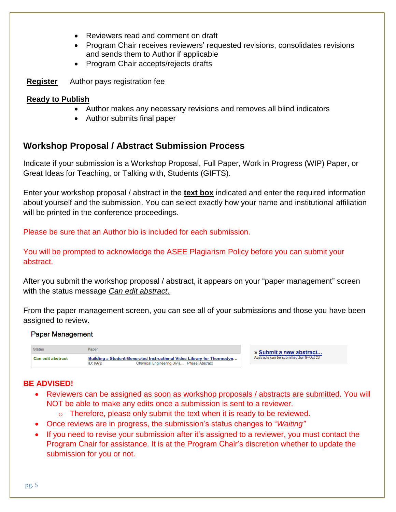- Reviewers read and comment on draft
- Program Chair receives reviewers' requested revisions, consolidates revisions and sends them to Author if applicable
- Program Chair accepts/rejects drafts
- **Register** Author pays registration fee

#### **Ready to Publish**

- Author makes any necessary revisions and removes all blind indicators
- Author submits final paper

## **Workshop Proposal / Abstract Submission Process**

Indicate if your submission is a Workshop Proposal, Full Paper, Work in Progress (WIP) Paper, or Great Ideas for Teaching, or Talking with, Students (GIFTS).

Enter your workshop proposal / abstract in the **text box** indicated and enter the required information about yourself and the submission. You can select exactly how your name and institutional affiliation will be printed in the conference proceedings.

Please be sure that an Author bio is included for each submission.

You will be prompted to acknowledge the ASEE Plagiarism Policy before you can submit your abstract.

After you submit the workshop proposal / abstract, it appears on your "paper management" screen with the status message *Can edit abstract*.

From the paper management screen, you can see all of your submissions and those you have been assigned to review.

#### **Paper Management**

| <b>Status</b>            | Paper    |                                            |                                                                        | » Submit a new abstract                 |  |
|--------------------------|----------|--------------------------------------------|------------------------------------------------------------------------|-----------------------------------------|--|
| <b>Can edit abstract</b> | ID: 9972 | Chemical Engineering Divis Phase: Abstract | Building a Student-Generated Instructional Video Library for Thermodyn | Abstracts can be submitted Jun 9-Oct 23 |  |

#### **BE ADVISED!**

- Reviewers can be assigned as soon as workshop proposals / abstracts are submitted. You will NOT be able to make any edits once a submission is sent to a reviewer.
	- $\circ$  Therefore, please only submit the text when it is ready to be reviewed.
- Once reviews are in progress, the submission's status changes to "*Waiting"*
- If you need to revise your submission after it's assigned to a reviewer, you must contact the Program Chair for assistance. It is at the Program Chair's discretion whether to update the submission for you or not.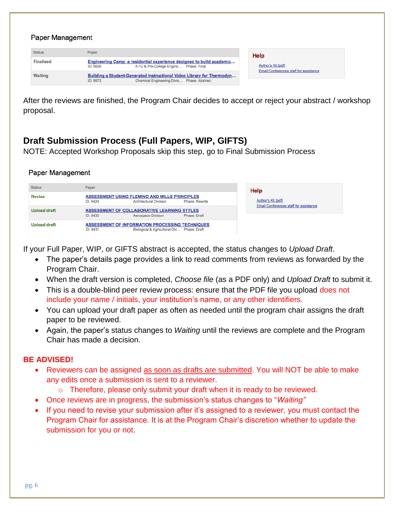#### **Paper Management**

| <b>Status</b>    | Paper                                                                                                                            | Help                                   |
|------------------|----------------------------------------------------------------------------------------------------------------------------------|----------------------------------------|
| <b>Finalized</b> | Engineering Camp: a residential experience designed to build academic<br>K-12 & Pre-College Engine Phase: Final<br>ID: 9936      | Author's Kit [pdf]                     |
| <b>Waiting</b>   | Building a Student-Generated Instructional Video Library for Thermodyn<br>Chemical Engineering Divis Phase: Abstract<br>ID: 9972 | Email Conferences staff for assistance |

After the reviews are finished, the Program Chair decides to accept or reject your abstract / workshop proposal.

## **Draft Submission Process (Full Papers, WIP, GIFTS)**

NOTE: Accepted Workshop Proposals skip this step, go to Final Submission Process

#### **Paper Management**

| <b>Status</b>       | Paper    |                                                                                                      | Help                  |                                        |
|---------------------|----------|------------------------------------------------------------------------------------------------------|-----------------------|----------------------------------------|
| <b>Revise</b>       | ID: 8429 | <b>ASSESSMENT USING FLEMING AND MILLS PRINCIPLES</b><br><b>Architectural Division</b>                | <b>Phase: Rewrite</b> | Author's Kit [pdf]                     |
| <b>Upload draft</b> | ID: 8430 | ASSESSMENT OF COLLABORATIVE LEARNING STYLES<br><b>Aerospace Division</b>                             | Phase: Draft          | Email Conferences staff for assistance |
| <b>Upload draft</b> | ID: 8431 | <b>ASSESSMENT OF INFORMATION PROCESSING TECHNIQUES</b><br>Biological & Agricultural Div Phase: Draft |                       |                                        |

If your Full Paper, WIP, or GIFTS abstract is accepted, the status changes to *Upload Draft*.

- The paper's details page provides a link to read comments from reviews as forwarded by the Program Chair.
- When the draft version is completed, *Choose file* (as a PDF only) and *Upload Draft* to submit it.
- This is a double-blind peer review process: ensure that the PDF file you upload does not include your name / initials, your institution's name, or any other identifiers.
- You can upload your draft paper as often as needed until the program chair assigns the draft paper to be reviewed.
- Again, the paper's status changes to *Waiting* until the reviews are complete and the Program Chair has made a decision.

#### **BE ADVISED!**

- Reviewers can be assigned as soon as drafts are submitted. You will NOT be able to make any edits once a submission is sent to a reviewer.
	- o Therefore, please only submit your draft when it is ready to be reviewed.
- Once reviews are in progress, the submission's status changes to "*Waiting"*
- If you need to revise your submission after it's assigned to a reviewer, you must contact the Program Chair for assistance. It is at the Program Chair's discretion whether to update the submission for you or not.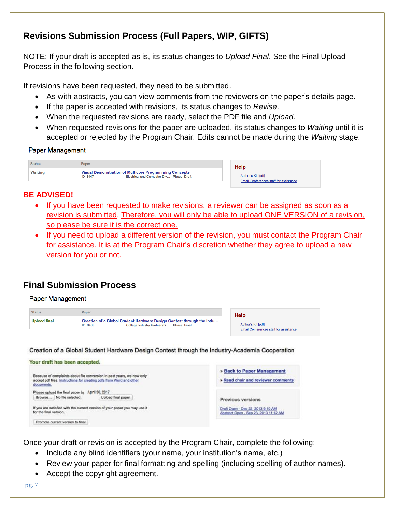## **Revisions Submission Process (Full Papers, WIP, GIFTS)**

NOTE: If your draft is accepted as is, its status changes to *Upload Final*. See the Final Upload Process in the following section.

If revisions have been requested, they need to be submitted.

- As with abstracts, you can view comments from the reviewers on the paper's details page.
- If the paper is accepted with revisions, its status changes to *Revise*.
- When the requested revisions are ready, select the PDF file and *Upload*.
- When requested revisions for the paper are uploaded, its status changes to *Waiting* until it is accepted or rejected by the Program Chair. Edits cannot be made during the *Waiting* stage.

#### **Paper Management**

| <b>Status</b>  | Paper                                                                                                                 | Help                                                                |
|----------------|-----------------------------------------------------------------------------------------------------------------------|---------------------------------------------------------------------|
| <b>Waiting</b> | <b>Visual Demonstration of Multicore Programming Concepts</b><br>Electrical and Computer Div Phase: Draft<br>ID: 8447 | Author's Kit [pdf]<br><b>Email Conferences staff for assistance</b> |

#### **BE ADVISED!**

- If you have been requested to make revisions, a reviewer can be assigned as soon as a revision is submitted. Therefore, you will only be able to upload ONE VERSION of a revision, so please be sure it is the correct one.
- If you need to upload a different version of the revision, you must contact the Program Chair for assistance. It is at the Program Chair's discretion whether they agree to upload a new version for you or not.

## **Final Submission Process**

#### **Paper Management**



Once your draft or revision is accepted by the Program Chair, complete the following:

- Include any blind identifiers (your name, your institution's name, etc.)
- Review your paper for final formatting and spelling (including spelling of author names).
- Accept the copyright agreement.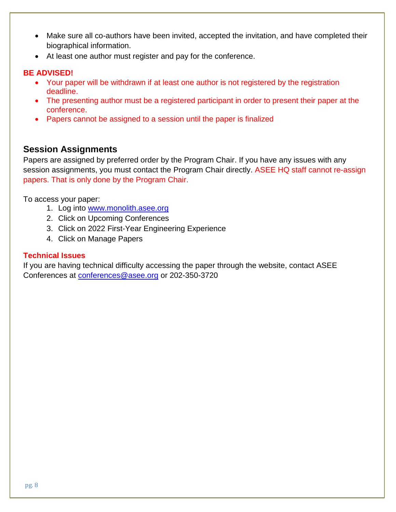- Make sure all co-authors have been invited, accepted the invitation, and have completed their biographical information.
- At least one author must register and pay for the conference.

#### **BE ADVISED!**

- Your paper will be withdrawn if at least one author is not registered by the registration deadline.
- The presenting author must be a registered participant in order to present their paper at the conference.
- Papers cannot be assigned to a session until the paper is finalized

## **Session Assignments**

Papers are assigned by preferred order by the Program Chair. If you have any issues with any session assignments, you must contact the Program Chair directly. ASEE HQ staff cannot re-assign papers. That is only done by the Program Chair.

To access your paper:

- 1. Log into [www.monolith.asee.org](http://www.monolith.asee.org/)
- 2. Click on Upcoming Conferences
- 3. Click on 2022 First-Year Engineering Experience
- 4. Click on Manage Papers

#### **Technical Issues**

If you are having technical difficulty accessing the paper through the website, contact ASEE Conferences at [conferences@asee.org](mailto:conferences@asee.org) or 202-350-3720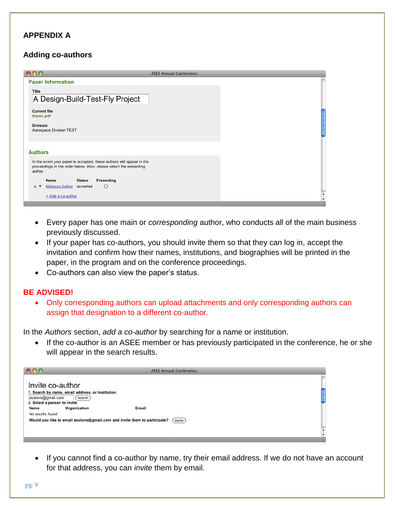#### **APPENDIX A**

#### **Adding co-authors**

| 000                                                                                                                                                    | <b>ASEE Annual Conference:</b> |
|--------------------------------------------------------------------------------------------------------------------------------------------------------|--------------------------------|
| <b>Paper Information</b>                                                                                                                               |                                |
| Title<br>A Design-Build-Test-Fly Project                                                                                                               |                                |
| <b>Current file</b><br>thsmc.pdf<br><b>Division</b><br>Aerospace Division TEST                                                                         |                                |
| <b>Authors</b>                                                                                                                                         |                                |
| In the event your paper is accepted, these authors will appear in the<br>proceedings in the order below. Also, please select the presenting<br>author. |                                |
| Name<br><b>Status</b><br>Presenting<br>Melyssa Author<br>$\circ$<br>accepted                                                                           |                                |
| + Add a co-author                                                                                                                                      | $\frac{4}{7}$                  |

- Every paper has one main or *corresponding* author, who conducts all of the main business previously discussed.
- If your paper has co-authors, you should invite them so that they can log in, accept the invitation and confirm how their names, institutions, and biographies will be printed in the paper, in the program and on the conference proceedings.
- Co-authors can also view the paper's status.

#### **BE ADVISED!**

• Only corresponding authors can upload attachments and only corresponding authors can assign that designation to a different co-author.

In the *Authors* section, *add a co-author* by searching for a name or institution.

• If the co-author is an ASEE member or has previously participated in the conference, he or she will appear in the search results.

| 000                                                                                                 | <b>ASEE Annual Conference:</b> |                      |
|-----------------------------------------------------------------------------------------------------|--------------------------------|----------------------|
| Invite co-author<br>1. Search by name, email address, or institution<br>asolove@gmail.com<br>Search |                                |                      |
| 2. Select a person to invite<br>Organization<br>Name                                                | Email                          |                      |
| No results found<br>Would you like to email asolove@gmail.com and invite them to participate?       | Invite                         | $\frac{1}{\sqrt{2}}$ |
|                                                                                                     |                                |                      |

• If you cannot find a co-author by name, try their email address. If we do not have an account for that address, you can *invite* them by email.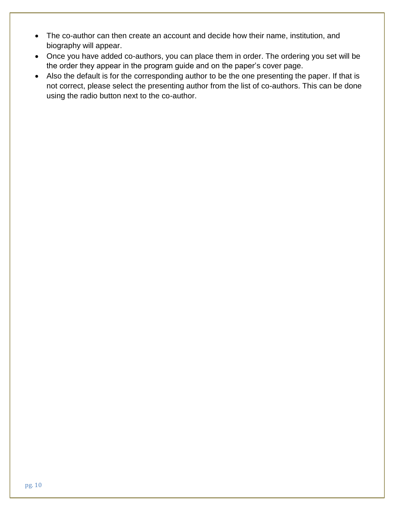- The co-author can then create an account and decide how their name, institution, and biography will appear.
- Once you have added co-authors, you can place them in order. The ordering you set will be the order they appear in the program guide and on the paper's cover page.
- Also the default is for the corresponding author to be the one presenting the paper. If that is not correct, please select the presenting author from the list of co-authors. This can be done using the radio button next to the co-author.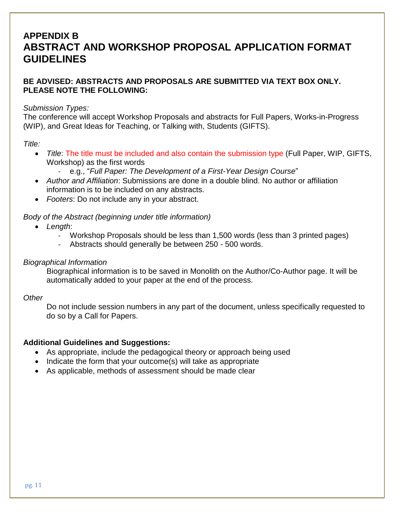## **APPENDIX B ABSTRACT AND WORKSHOP PROPOSAL APPLICATION FORMAT GUIDELINES**

#### **BE ADVISED: ABSTRACTS AND PROPOSALS ARE SUBMITTED VIA TEXT BOX ONLY. PLEASE NOTE THE FOLLOWING:**

#### *Submission Types:*

The conference will accept Workshop Proposals and abstracts for Full Papers, Works-in-Progress (WIP), and Great Ideas for Teaching, or Talking with, Students (GIFTS).

#### *Title:*

- *Title*: The title must be included and also contain the submission type (Full Paper, WIP, GIFTS, Workshop) as the first words
	- e.g., "*Full Paper: The Development of a First-Year Design Course*"
- *Author and Affiliation*: Submissions are done in a double blind. No author or affiliation information is to be included on any abstracts.
- *Footers*: Do not include any in your abstract.

#### *Body of the Abstract (beginning under title information)*

- *Length*:
	- Workshop Proposals should be less than 1,500 words (less than 3 printed pages)
	- Abstracts should generally be between 250 500 words.

#### *Biographical Information*

Biographical information is to be saved in Monolith on the Author/Co-Author page. It will be automatically added to your paper at the end of the process.

#### *Other*

Do not include session numbers in any part of the document, unless specifically requested to do so by a Call for Papers.

#### **Additional Guidelines and Suggestions:**

- As appropriate, include the pedagogical theory or approach being used
- Indicate the form that your outcome(s) will take as appropriate
- As applicable, methods of assessment should be made clear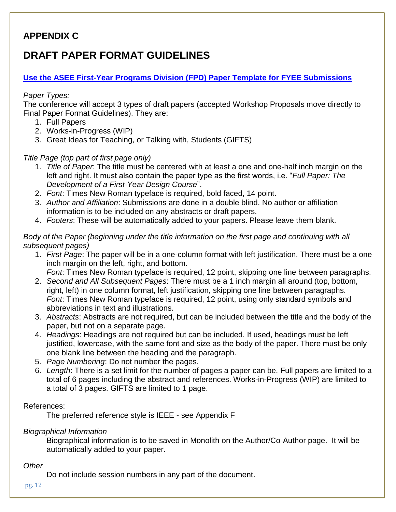## **APPENDIX C**

## **DRAFT PAPER FORMAT GUIDELINES**

#### **[Use the ASEE First-Year Programs Division \(FPD\)](http://sites.asee.org/fyee2021/wp-content/uploads/sites/52/2021/03/FYEE-2021-Paper-Template.docx) Paper Template for FYEE Submissions**

#### *Paper Types:*

The conference will accept 3 types of draft papers (accepted Workshop Proposals move directly to Final Paper Format Guidelines). They are:

- 1. Full Papers
- 2. Works-in-Progress (WIP)
- 3. Great Ideas for Teaching, or Talking with, Students (GIFTS)

#### *Title Page (top part of first page only)*

- 1. *Title of Paper*: The title must be centered with at least a one and one-half inch margin on the left and right. It must also contain the paper type as the first words, i.e. "*Full Paper: The Development of a First-Year Design Course*".
- 2. *Font*: Times New Roman typeface is required, bold faced, 14 point.
- 3. *Author and Affiliation*: Submissions are done in a double blind. No author or affiliation information is to be included on any abstracts or draft papers.
- 4. *Footers*: These will be automatically added to your papers. Please leave them blank.

#### *Body of the Paper (beginning under the title information on the first page and continuing with all subsequent pages)*

- 1. *First Page*: The paper will be in a one-column format with left justification. There must be a one inch margin on the left, right, and bottom.
	- *Font*: Times New Roman typeface is required, 12 point, skipping one line between paragraphs.
- 2. *Second and All Subsequent Pages*: There must be a 1 inch margin all around (top, bottom, right, left) in one column format, left justification, skipping one line between paragraphs. *Font*: Times New Roman typeface is required, 12 point, using only standard symbols and abbreviations in text and illustrations.
- 3. *Abstracts*: Abstracts are not required, but can be included between the title and the body of the paper, but not on a separate page.
- 4. *Headings*: Headings are not required but can be included. If used, headings must be left justified, lowercase, with the same font and size as the body of the paper. There must be only one blank line between the heading and the paragraph.
- 5. *Page Numbering*: Do not number the pages.
- 6. *Length*: There is a set limit for the number of pages a paper can be. Full papers are limited to a total of 6 pages including the abstract and references. Works-in-Progress (WIP) are limited to a total of 3 pages. GIFTS are limited to 1 page.

#### References:

The preferred reference style is IEEE - see Appendix F

#### *Biographical Information*

Biographical information is to be saved in Monolith on the Author/Co-Author page. It will be automatically added to your paper.

#### *Other*

Do not include session numbers in any part of the document.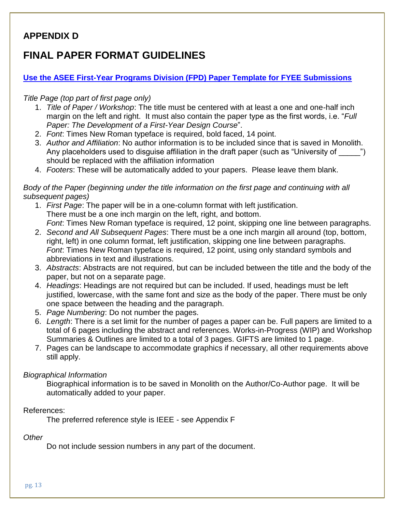## **APPENDIX D**

## **FINAL PAPER FORMAT GUIDELINES**

#### **[Use the ASEE First-Year Programs Division \(FPD\) Paper Template for FYEE Submissions](http://sites.asee.org/fyee2021/wp-content/uploads/sites/52/2021/03/FYEE-2021-Paper-Template.docx)**

#### *Title Page (top part of first page only)*

- 1. *Title of Paper / Workshop*: The title must be centered with at least a one and one-half inch margin on the left and right. It must also contain the paper type as the first words, i.e. "*Full Paper: The Development of a First-Year Design Course*".
- 2. *Font*: Times New Roman typeface is required, bold faced, 14 point.
- 3. *Author and Affiliation*: No author information is to be included since that is saved in Monolith. Any placeholders used to disguise affiliation in the draft paper (such as "University of  $\qquad$  ") should be replaced with the affiliation information
- 4. *Footers*: These will be automatically added to your papers. Please leave them blank.

#### *Body of the Paper (beginning under the title information on the first page and continuing with all subsequent pages)*

- 1. *First Page*: The paper will be in a one-column format with left justification. There must be a one inch margin on the left, right, and bottom. *Font*: Times New Roman typeface is required, 12 point, skipping one line between paragraphs.
- 2. *Second and All Subsequent Pages*: There must be a one inch margin all around (top, bottom, right, left) in one column format, left justification, skipping one line between paragraphs. *Font*: Times New Roman typeface is required, 12 point, using only standard symbols and abbreviations in text and illustrations.
- 3. *Abstracts*: Abstracts are not required, but can be included between the title and the body of the paper, but not on a separate page.
- 4. *Headings*: Headings are not required but can be included. If used, headings must be left justified, lowercase, with the same font and size as the body of the paper. There must be only one space between the heading and the paragraph.
- 5. *Page Numbering*: Do not number the pages.
- 6. *Length*: There is a set limit for the number of pages a paper can be. Full papers are limited to a total of 6 pages including the abstract and references. Works-in-Progress (WIP) and Workshop Summaries & Outlines are limited to a total of 3 pages. GIFTS are limited to 1 page.
- 7. Pages can be landscape to accommodate graphics if necessary, all other requirements above still apply.

#### *Biographical Information*

Biographical information is to be saved in Monolith on the Author/Co-Author page. It will be automatically added to your paper.

#### References:

The preferred reference style is IEEE - see Appendix F

#### *Other*

Do not include session numbers in any part of the document.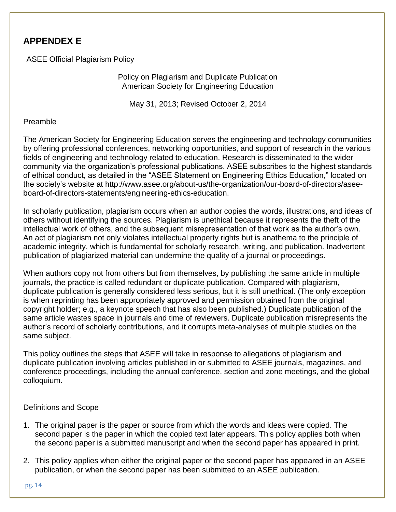## **APPENDEX E**

ASEE Official Plagiarism Policy

Policy on Plagiarism and Duplicate Publication American Society for Engineering Education

May 31, 2013; Revised October 2, 2014

#### Preamble

The American Society for Engineering Education serves the engineering and technology communities by offering professional conferences, networking opportunities, and support of research in the various fields of engineering and technology related to education. Research is disseminated to the wider community via the organization's professional publications. ASEE subscribes to the highest standards of ethical conduct, as detailed in the "ASEE Statement on Engineering Ethics Education," located on the society's website at [http://www.asee.org/about-us/the-organization/our-board-of-directors/asee](http://www.asee.org/about-us/the-organization/our-board-of-directors/asee-board-of-directors-statements/engineering-ethics-education)[board-of-directors-statements/engineering-ethics-education.](http://www.asee.org/about-us/the-organization/our-board-of-directors/asee-board-of-directors-statements/engineering-ethics-education)

In scholarly publication, plagiarism occurs when an author copies the words, illustrations, and ideas of others without identifying the sources. Plagiarism is unethical because it represents the theft of the intellectual work of others, and the subsequent misrepresentation of that work as the author's own. An act of plagiarism not only violates intellectual property rights but is anathema to the principle of academic integrity, which is fundamental for scholarly research, writing, and publication. Inadvertent publication of plagiarized material can undermine the quality of a journal or proceedings.

When authors copy not from others but from themselves, by publishing the same article in multiple journals, the practice is called redundant or duplicate publication. Compared with plagiarism, duplicate publication is generally considered less serious, but it is still unethical. (The only exception is when reprinting has been appropriately approved and permission obtained from the original copyright holder; e.g., a keynote speech that has also been published.) Duplicate publication of the same article wastes space in journals and time of reviewers. Duplicate publication misrepresents the author's record of scholarly contributions, and it corrupts meta-analyses of multiple studies on the same subject.

This policy outlines the steps that ASEE will take in response to allegations of plagiarism and duplicate publication involving articles published in or submitted to ASEE journals, magazines, and conference proceedings, including the annual conference, section and zone meetings, and the global colloquium.

#### Definitions and Scope

- 1. The original paper is the paper or source from which the words and ideas were copied. The second paper is the paper in which the copied text later appears. This policy applies both when the second paper is a submitted manuscript and when the second paper has appeared in print.
- 2. This policy applies when either the original paper or the second paper has appeared in an ASEE publication, or when the second paper has been submitted to an ASEE publication.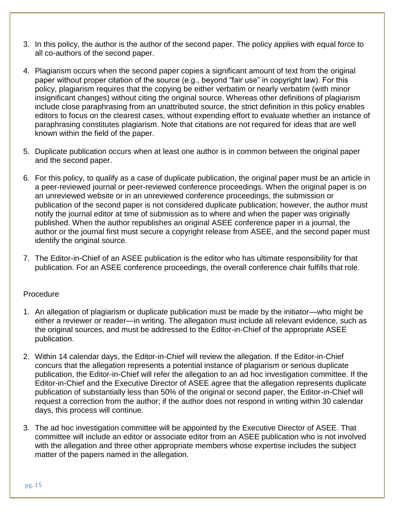- 3. In this policy, the author is the author of the second paper. The policy applies with equal force to all co-authors of the second paper.
- 4. Plagiarism occurs when the second paper copies a significant amount of text from the original paper without proper citation of the source (e.g., beyond "fair use" in copyright law). For this policy, plagiarism requires that the copying be either verbatim or nearly verbatim (with minor insignificant changes) without citing the original source. Whereas other definitions of plagiarism include close paraphrasing from an unattributed source, the strict definition in this policy enables editors to focus on the clearest cases, without expending effort to evaluate whether an instance of paraphrasing constitutes plagiarism. Note that citations are not required for ideas that are well known within the field of the paper.
- 5. Duplicate publication occurs when at least one author is in common between the original paper and the second paper.
- 6. For this policy, to qualify as a case of duplicate publication, the original paper must be an article in a peer-reviewed journal or peer-reviewed conference proceedings. When the original paper is on an unreviewed website or in an unreviewed conference proceedings, the submission or publication of the second paper is not considered duplicate publication; however, the author must notify the journal editor at time of submission as to where and when the paper was originally published. When the author republishes an original ASEE conference paper in a journal, the author or the journal first must secure a copyright release from ASEE, and the second paper must identify the original source.
- 7. The Editor-in-Chief of an ASEE publication is the editor who has ultimate responsibility for that publication. For an ASEE conference proceedings, the overall conference chair fulfills that role.

#### **Procedure**

- 1. An allegation of plagiarism or duplicate publication must be made by the initiator—who might be either a reviewer or reader—in writing. The allegation must include all relevant evidence, such as the original sources, and must be addressed to the Editor-in-Chief of the appropriate ASEE publication.
- 2. Within 14 calendar days, the Editor-in-Chief will review the allegation. If the Editor-in-Chief concurs that the allegation represents a potential instance of plagiarism or serious duplicate publication, the Editor-in-Chief will refer the allegation to an ad hoc investigation committee. If the Editor-in-Chief and the Executive Director of ASEE agree that the allegation represents duplicate publication of substantially less than 50% of the original or second paper, the Editor-in-Chief will request a correction from the author; if the author does not respond in writing within 30 calendar days, this process will continue.
- 3. The ad hoc investigation committee will be appointed by the Executive Director of ASEE. That committee will include an editor or associate editor from an ASEE publication who is not involved with the allegation and three other appropriate members whose expertise includes the subject matter of the papers named in the allegation.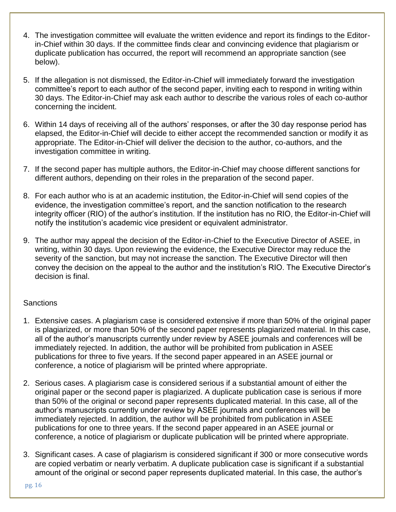- 4. The investigation committee will evaluate the written evidence and report its findings to the Editorin-Chief within 30 days. If the committee finds clear and convincing evidence that plagiarism or duplicate publication has occurred, the report will recommend an appropriate sanction (see below).
- 5. If the allegation is not dismissed, the Editor-in-Chief will immediately forward the investigation committee's report to each author of the second paper, inviting each to respond in writing within 30 days. The Editor-in-Chief may ask each author to describe the various roles of each co-author concerning the incident.
- 6. Within 14 days of receiving all of the authors' responses, or after the 30 day response period has elapsed, the Editor-in-Chief will decide to either accept the recommended sanction or modify it as appropriate. The Editor-in-Chief will deliver the decision to the author, co-authors, and the investigation committee in writing.
- 7. If the second paper has multiple authors, the Editor-in-Chief may choose different sanctions for different authors, depending on their roles in the preparation of the second paper.
- 8. For each author who is at an academic institution, the Editor-in-Chief will send copies of the evidence, the investigation committee's report, and the sanction notification to the research integrity officer (RIO) of the author's institution. If the institution has no RIO, the Editor-in-Chief will notify the institution's academic vice president or equivalent administrator.
- 9. The author may appeal the decision of the Editor-in-Chief to the Executive Director of ASEE, in writing, within 30 days. Upon reviewing the evidence, the Executive Director may reduce the severity of the sanction, but may not increase the sanction. The Executive Director will then convey the decision on the appeal to the author and the institution's RIO. The Executive Director's decision is final.

#### **Sanctions**

- 1. Extensive cases. A plagiarism case is considered extensive if more than 50% of the original paper is plagiarized, or more than 50% of the second paper represents plagiarized material. In this case, all of the author's manuscripts currently under review by ASEE journals and conferences will be immediately rejected. In addition, the author will be prohibited from publication in ASEE publications for three to five years. If the second paper appeared in an ASEE journal or conference, a notice of plagiarism will be printed where appropriate.
- 2. Serious cases. A plagiarism case is considered serious if a substantial amount of either the original paper or the second paper is plagiarized. A duplicate publication case is serious if more than 50% of the original or second paper represents duplicated material. In this case, all of the author's manuscripts currently under review by ASEE journals and conferences will be immediately rejected. In addition, the author will be prohibited from publication in ASEE publications for one to three years. If the second paper appeared in an ASEE journal or conference, a notice of plagiarism or duplicate publication will be printed where appropriate.
- 3. Significant cases. A case of plagiarism is considered significant if 300 or more consecutive words are copied verbatim or nearly verbatim. A duplicate publication case is significant if a substantial amount of the original or second paper represents duplicated material. In this case, the author's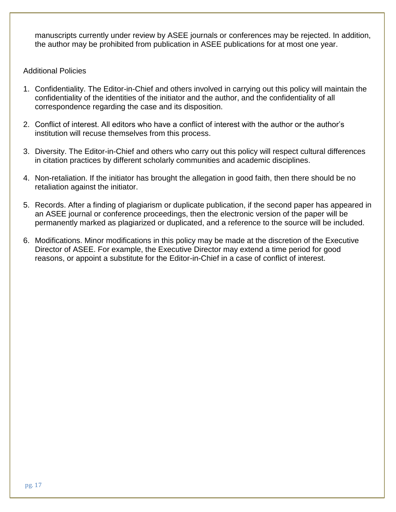manuscripts currently under review by ASEE journals or conferences may be rejected. In addition, the author may be prohibited from publication in ASEE publications for at most one year.

#### Additional Policies

- 1. Confidentiality. The Editor-in-Chief and others involved in carrying out this policy will maintain the confidentiality of the identities of the initiator and the author, and the confidentiality of all correspondence regarding the case and its disposition.
- 2. Conflict of interest. All editors who have a conflict of interest with the author or the author's institution will recuse themselves from this process.
- 3. Diversity. The Editor-in-Chief and others who carry out this policy will respect cultural differences in citation practices by different scholarly communities and academic disciplines.
- 4. Non-retaliation. If the initiator has brought the allegation in good faith, then there should be no retaliation against the initiator.
- 5. Records. After a finding of plagiarism or duplicate publication, if the second paper has appeared in an ASEE journal or conference proceedings, then the electronic version of the paper will be permanently marked as plagiarized or duplicated, and a reference to the source will be included.
- 6. Modifications. Minor modifications in this policy may be made at the discretion of the Executive Director of ASEE. For example, the Executive Director may extend a time period for good reasons, or appoint a substitute for the Editor-in-Chief in a case of conflict of interest.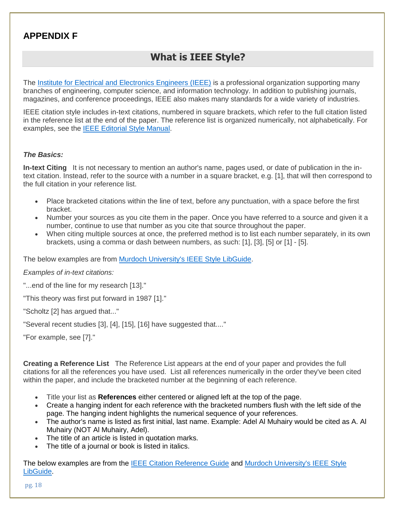## **APPENDIX F**

## **What is IEEE Style?**

The [Institute for Electrical and Electronics Engineers \(IEEE\)](http://www.ieee.org/about/index.html) is a professional organization supporting many branches of engineering, computer science, and information technology. In addition to publishing journals, magazines, and conference proceedings, IEEE also makes many standards for a wide variety of industries.

IEEE citation style includes in-text citations, numbered in square brackets, which refer to the full citation listed in the reference list at the end of the paper. The reference list is organized numerically, not alphabetically. For examples, see the [IEEE Editorial Style](http://www.ieee.org/conferences_events/conferences/publishing/style_references_manual.pdf) Manual.

#### *The Basics:*

**In-text Citing** It is not necessary to mention an author's name, pages used, or date of publication in the intext citation. Instead, refer to the source with a number in a square bracket, e.g. [1], that will then correspond to the full citation in your reference list.

- Place bracketed citations within the line of text, before any punctuation, with a space before the first bracket.
- Number your sources as you cite them in the paper. Once you have referred to a source and given it a number, continue to use that number as you cite that source throughout the paper.
- When citing multiple sources at once, the preferred method is to list each number separately, in its own brackets, using a comma or dash between numbers, as such: [1], [3], [5] or [1] - [5].

The below examples are from [Murdoch University's IEEE Style LibGuide.](https://libguides.murdoch.edu.au/IEEE)

*Examples of in-text citations:*

"...end of the line for my research [13]."

"This theory was first put forward in 1987 [1]."

"Scholtz [2] has argued that..."

"Several recent studies [3], [4], [15], [16] have suggested that...."

"For example, see [7]."

**Creating a Reference List** The Reference List appears at the end of your paper and provides the full citations for all the references you have used. List all references numerically in the order they've been cited within the paper, and include the bracketed number at the beginning of each reference.

- Title your list as **References** either centered or aligned left at the top of the page.
- Create a hanging indent for each reference with the bracketed numbers flush with the left side of the page. The hanging indent highlights the numerical sequence of your references.
- The author's name is listed as first initial, last name. Example: Adel Al Muhairy would be cited as A. Al Muhairy (NOT Al Muhairy, Adel).
- The title of an article is listed in quotation marks.
- The title of a journal or book is listed in italics.

The below examples are from the [IEEE Citation Reference Guide](https://ieeeauthorcenter.ieee.org/wp-content/uploads/IEEE-Reference-Guide.pdf) and [Murdoch University's IEEE Style](https://libguides.murdoch.edu.au/IEEE)  [LibGuide.](https://libguides.murdoch.edu.au/IEEE)